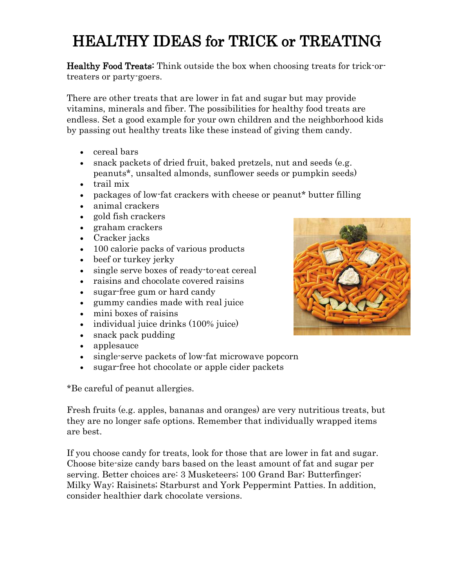## HEALTHY IDEAS for TRICK or TREATING

Healthy Food Treats: Think outside the box when choosing treats for trick-ortreaters or party-goers.

There are other treats that are lower in fat and sugar but may provide vitamins, minerals and fiber. The possibilities for healthy food treats are endless. Set a good example for your own children and the neighborhood kids by passing out healthy treats like these instead of giving them candy.

- cereal bars
- snack packets of dried fruit, baked pretzels, nut and seeds (e.g. peanuts\*, unsalted almonds, sunflower seeds or pumpkin seeds)
- trail mix
- packages of low-fat crackers with cheese or peanut\* butter filling
- animal crackers
- gold fish crackers
- graham crackers
- Cracker jacks
- 100 calorie packs of various products
- beef or turkey jerky
- single serve boxes of ready-to-eat cereal
- raisins and chocolate covered raisins
- sugar-free gum or hard candy
- gummy candies made with real juice
- mini boxes of raisins
- individual juice drinks (100% juice)
- snack pack pudding
- applesauce
- single-serve packets of low-fat microwave popcorn
- sugar-free hot chocolate or apple cider packets

\*Be careful of peanut allergies.

Fresh fruits (e.g. apples, bananas and oranges) are very nutritious treats, but they are no longer safe options. Remember that individually wrapped items are best.

If you choose candy for treats, look for those that are lower in fat and sugar. Choose bite-size candy bars based on the least amount of fat and sugar per serving. Better choices are: 3 Musketeers; 100 Grand Bar; Butterfinger; Milky Way; Raisinets; Starburst and York Peppermint Patties. In addition, consider healthier dark chocolate versions.